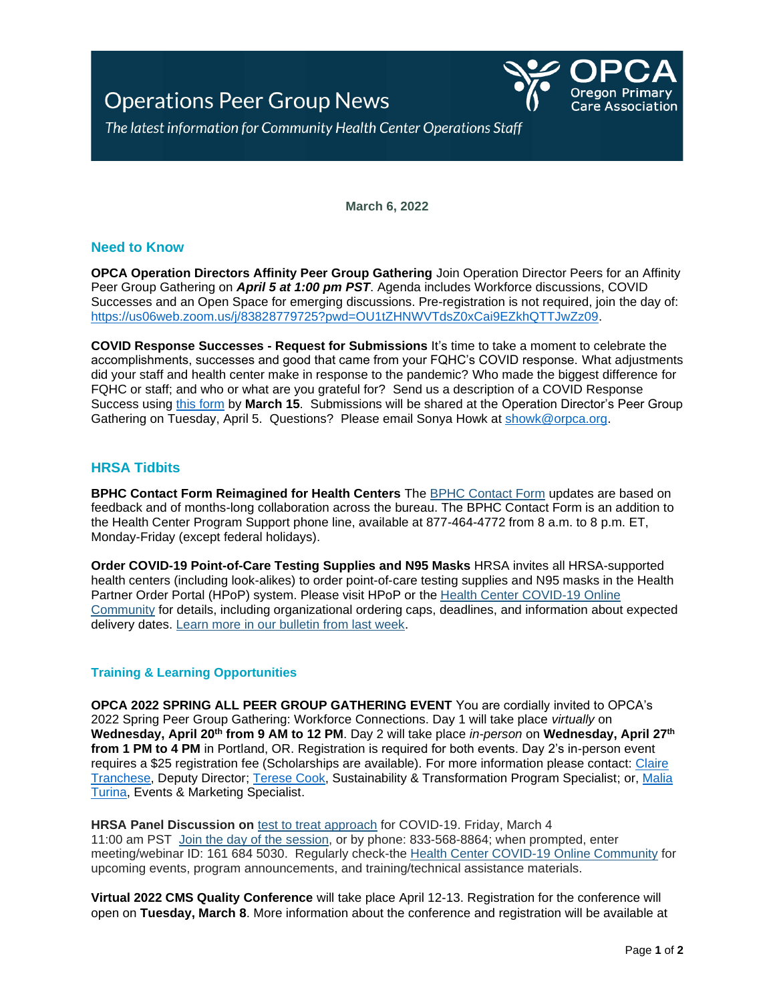# **Operations Peer Group News**



The latest information for Community Health Center Operations Staff

**March 6, 2022**

# **Need to Know**

**OPCA Operation Directors Affinity Peer Group Gathering** Join Operation Director Peers for an Affinity Peer Group Gathering on *April 5 at 1:00 pm PST*. Agenda includes Workforce discussions, COVID Successes and an Open Space for emerging discussions. Pre-registration is not required, join the day of: [https://us06web.zoom.us/j/83828779725?pwd=OU1tZHNWVTdsZ0xCai9EZkhQTTJwZz09.](https://us06web.zoom.us/j/83828779725?pwd=OU1tZHNWVTdsZ0xCai9EZkhQTTJwZz09)

**COVID Response Successes - Request for Submissions** It's time to take a moment to celebrate the accomplishments, successes and good that came from your FQHC's COVID response. What adjustments did your staff and health center make in response to the pandemic? Who made the biggest difference for FQHC or staff; and who or what are you grateful for? Send us a description of a COVID Response Success using [this form](https://forms.office.com/Pages/ResponsePage.aspx?id=2jvRxJh6-kaZC1_igLcly3eVlV1UaCVJq2vrvCUyhBlUQU5YSjNMWTIyQ05aSUZXMVgxMVhMSlZGSS4u) by **March 15**. Submissions will be shared at the Operation Director's Peer Group Gathering on Tuesday, April 5. Questions? Please email Sonya Howk at [showk@orpca.org.](mailto:showk@orpca.org)

# **HRSA Tidbits**

**BPHC Contact Form Reimagined for Health Centers** The [BPHC Contact Form](https://lnks.gd/l/eyJhbGciOiJIUzI1NiJ9.eyJidWxsZXRpbl9saW5rX2lkIjoxMDksInVyaSI6ImJwMjpjbGljayIsImJ1bGxldGluX2lkIjoiMjAyMjAyMjIuNTM4MTA5MDEiLCJ1cmwiOiJodHRwczovL2JwaGNjb21tdW5pY2F0aW9ucy5zZWN1cmUuZm9yY2UuY29tL0NvbnRhY3RCUEhDL0JQSENfQ29udGFjdF9Gb3JtIn0.Pkw4pGhbmF973fUn7OapfUK62-Z0fwTHry2QEbCWRmk/s/976936222/br/126983578481-l) updates are based on feedback and of months-long collaboration across the bureau. The BPHC Contact Form is an addition to the Health Center Program Support phone line, available at 877-464-4772 from 8 a.m. to 8 p.m. ET, Monday-Friday (except federal holidays).

**Order COVID-19 Point-of-Care Testing Supplies and N95 Masks** HRSA invites all HRSA-supported health centers (including look-alikes) to order point-of-care testing supplies and N95 masks in the Health Partner Order Portal (HPoP) system. Please visit HPoP or the [Health Center COVID-19 Online](https://lnks.gd/l/eyJhbGciOiJIUzI1NiJ9.eyJidWxsZXRpbl9saW5rX2lkIjoxMjAsInVyaSI6ImJwMjpjbGljayIsImJ1bGxldGluX2lkIjoiMjAyMjAyMjIuNTM4MTA5MDEiLCJ1cmwiOiJodHRwczovL2hyc2EuZm9yY2UuY29tL0hSU0FCUEhDL3MvbG9naW4vIn0.X2nlAJLkRZpyQymF92aHutvXtexGS4gmi44Z9mnLWEE/s/976936222/br/126983578481-l)  [Community](https://lnks.gd/l/eyJhbGciOiJIUzI1NiJ9.eyJidWxsZXRpbl9saW5rX2lkIjoxMjAsInVyaSI6ImJwMjpjbGljayIsImJ1bGxldGluX2lkIjoiMjAyMjAyMjIuNTM4MTA5MDEiLCJ1cmwiOiJodHRwczovL2hyc2EuZm9yY2UuY29tL0hSU0FCUEhDL3MvbG9naW4vIn0.X2nlAJLkRZpyQymF92aHutvXtexGS4gmi44Z9mnLWEE/s/976936222/br/126983578481-l) for details, including organizational ordering caps, deadlines, and information about expected delivery dates. [Learn more in our bulletin from last week.](https://lnks.gd/l/eyJhbGciOiJIUzI1NiJ9.eyJidWxsZXRpbl9saW5rX2lkIjoxMjEsInVyaSI6ImJwMjpjbGljayIsImJ1bGxldGluX2lkIjoiMjAyMjAyMjIuNTM4MTA5MDEiLCJ1cmwiOiJodHRwczovL2NvbnRlbnQuZ292ZGVsaXZlcnkuY29tL2FjY291bnRzL1VTSEhTSFJTQS9idWxsZXRpbnMvMzBiMTQwMSJ9.5vdRyvsbEIO_2rXqNC96FVv_XjV_QmtiYqpRgeCmIec/s/976936222/br/126983578481-l)

### **Training & Learning Opportunities**

**OPCA 2022 SPRING ALL PEER GROUP GATHERING EVENT** You are cordially invited to OPCA's 2022 Spring Peer Group Gathering: Workforce Connections. Day 1 will take place *virtually* on **Wednesday, April 20th from 9 AM to 12 PM**. Day 2 will take place *in-person* on **Wednesday, April 27th from 1 PM to 4 PM** in Portland, OR. Registration is required for both events. Day 2's in-person event requires a \$25 registration fee (Scholarships are available). For more information please contact: Claire [Tranchese,](mailto:ctranchese@orpca.org) Deputy Director; [Terese Cook,](mailto:tcook@orpca.org) Sustainability & Transformation Program Specialist; or, [Malia](mailto:mturina@orpca.org)  [Turina,](mailto:mturina@orpca.org) Events & Marketing Specialist.

**HRSA Panel Discussion on** [test to treat approach](https://lnks.gd/l/eyJhbGciOiJIUzI1NiJ9.eyJidWxsZXRpbl9saW5rX2lkIjoxMDAsInVyaSI6ImJwMjpjbGljayIsImJ1bGxldGluX2lkIjoiMjAyMjAyMjUuNTQwMTQ5OTEiLCJ1cmwiOiJodHRwczovL3d3dy5jZGMuZ292L2Nvcm9uYXZpcnVzLzIwMTktbmNvdi9kb3dubG9hZHMvY29tbXVuaWNhdGlvbi9wcmludC1yZXNvdXJjZXMvVGVzdC1Tb29uLVRyZWF0LUVhcmx5LnBkZiJ9.Cf5uVoEaKc7kpgFuM6qllcMTzd66vcPDUz7LyGhEyZQ/s/976936222/br/127174632447-l) for COVID-19. Friday, March 4 11:00 am PST [Join the day of the](https://lnks.gd/l/eyJhbGciOiJIUzI1NiJ9.eyJidWxsZXRpbl9saW5rX2lkIjoxMDEsInVyaSI6ImJwMjpjbGljayIsImJ1bGxldGluX2lkIjoiMjAyMjAyMjUuNTQwMTQ5OTEiLCJ1cmwiOiJodHRwczovL2hyc2EtZ292Lnpvb21nb3YuY29tL2ovMTYxNjg0NTAzMCJ9.BULBimzSyqU8D-Tu_P9GOOytE7j-DfT3D6odNReIGSs/s/976936222/br/127174632447-l) session, or by phone: 833-568-8864; when prompted, enter meeting/webinar ID: 161 684 5030. Regularly check-the [Health Center COVID-19 Online Community](https://lnks.gd/l/eyJhbGciOiJIUzI1NiJ9.eyJidWxsZXRpbl9saW5rX2lkIjoxMDIsInVyaSI6ImJwMjpjbGljayIsImJ1bGxldGluX2lkIjoiMjAyMjAyMjUuNTQwMTQ5OTEiLCJ1cmwiOiJodHRwczovL2hyc2EuZm9yY2UuY29tL0hSU0FCUEhDL3MvbG9naW4vP2VjPTMwMiZzdGFydFVSTD0lMkZIUlNBQlBIQyUyRnMlMkYifQ.-U5v3td-3CEePlsrWH6r7I1a5lEFuPl7ISgQxDV3wQw/s/976936222/br/127174632447-l) for upcoming events, program announcements, and training/technical assistance materials.

**Virtual 2022 CMS Quality Conference** will take place April 12-13. Registration for the conference will open on **Tuesday, March 8**. More information about the conference and registration will be available at